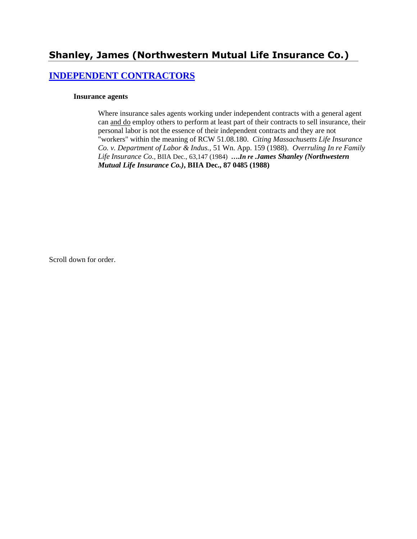# **Shanley, James (Northwestern Mutual Life Insurance Co.)**

### **[INDEPENDENT CONTRACTORS](http://www.biia.wa.gov/SDSubjectIndex.html#INDEPENDENT_CONTRACTORS)**

#### **Insurance agents**

Where insurance sales agents working under independent contracts with a general agent can and do employ others to perform at least part of their contracts to sell insurance, their personal labor is not the essence of their independent contracts and they are not "workers" within the meaning of RCW 51.08.180. *Citing Massachusetts Life Insurance Co. v. Department of Labor & Indus.,* 51 Wn. App. 159 (1988). *Overruling In re Family Life Insurance Co.*, BIIA Dec., 63,147 (1984) **….***In re .James Shanley (Northwestern Mutual Life Insurance Co.)***, BIIA Dec., 87 0485 (1988)** 

Scroll down for order.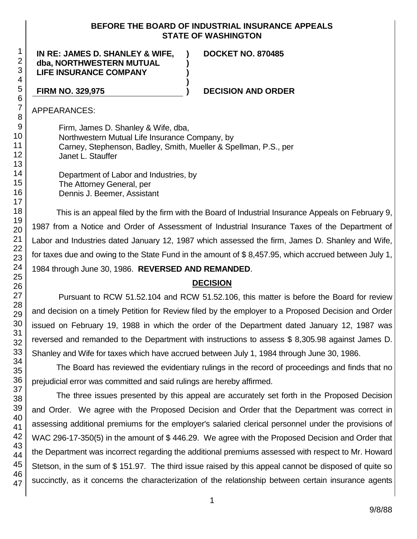#### **BEFORE THE BOARD OF INDUSTRIAL INSURANCE APPEALS STATE OF WASHINGTON**

**) ) )**

**)**

**IN RE: JAMES D. SHANLEY & WIFE, dba, NORTHWESTERN MUTUAL LIFE INSURANCE COMPANY**

**DOCKET NO. 870485**

### **FIRM NO. 329,975 ) DECISION AND ORDER**

APPEARANCES:

Firm, James D. Shanley & Wife, dba, Northwestern Mutual Life Insurance Company, by Carney, Stephenson, Badley, Smith, Mueller & Spellman, P.S., per Janet L. Stauffer

Department of Labor and Industries, by The Attorney General, per Dennis J. Beemer, Assistant

This is an appeal filed by the firm with the Board of Industrial Insurance Appeals on February 9, 1987 from a Notice and Order of Assessment of Industrial Insurance Taxes of the Department of Labor and Industries dated January 12, 1987 which assessed the firm, James D. Shanley and Wife, for taxes due and owing to the State Fund in the amount of \$ 8,457.95, which accrued between July 1, 1984 through June 30, 1986. **REVERSED AND REMANDED**.

#### **DECISION**

Pursuant to RCW 51.52.104 and RCW 51.52.106, this matter is before the Board for review and decision on a timely Petition for Review filed by the employer to a Proposed Decision and Order issued on February 19, 1988 in which the order of the Department dated January 12, 1987 was reversed and remanded to the Department with instructions to assess \$ 8,305.98 against James D. Shanley and Wife for taxes which have accrued between July 1, 1984 through June 30, 1986.

The Board has reviewed the evidentiary rulings in the record of proceedings and finds that no prejudicial error was committed and said rulings are hereby affirmed.

The three issues presented by this appeal are accurately set forth in the Proposed Decision and Order. We agree with the Proposed Decision and Order that the Department was correct in assessing additional premiums for the employer's salaried clerical personnel under the provisions of WAC 296-17-350(5) in the amount of \$446.29. We agree with the Proposed Decision and Order that the Department was incorrect regarding the additional premiums assessed with respect to Mr. Howard Stetson, in the sum of \$ 151.97. The third issue raised by this appeal cannot be disposed of quite so succinctly, as it concerns the characterization of the relationship between certain insurance agents

47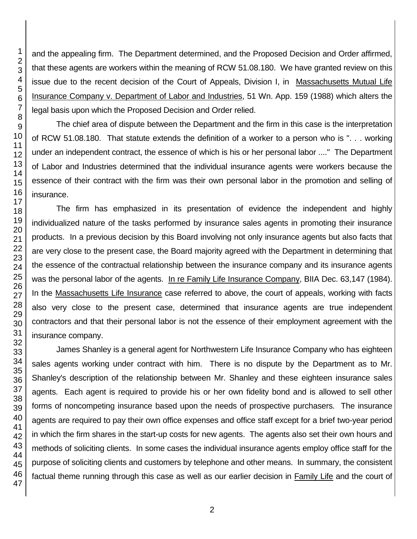and the appealing firm. The Department determined, and the Proposed Decision and Order affirmed, that these agents are workers within the meaning of RCW 51.08.180. We have granted review on this issue due to the recent decision of the Court of Appeals, Division I, in Massachusetts Mutual Life Insurance Company v. Department of Labor and Industries, 51 Wn. App. 159 (1988) which alters the legal basis upon which the Proposed Decision and Order relied.

The chief area of dispute between the Department and the firm in this case is the interpretation of RCW 51.08.180. That statute extends the definition of a worker to a person who is ". . . working under an independent contract, the essence of which is his or her personal labor ...." The Department of Labor and Industries determined that the individual insurance agents were workers because the essence of their contract with the firm was their own personal labor in the promotion and selling of insurance.

The firm has emphasized in its presentation of evidence the independent and highly individualized nature of the tasks performed by insurance sales agents in promoting their insurance products. In a previous decision by this Board involving not only insurance agents but also facts that are very close to the present case, the Board majority agreed with the Department in determining that the essence of the contractual relationship between the insurance company and its insurance agents was the personal labor of the agents. In re Family Life Insurance Company, BIIA Dec. 63,147 (1984). In the Massachusetts Life Insurance case referred to above, the court of appeals, working with facts also very close to the present case, determined that insurance agents are true independent contractors and that their personal labor is not the essence of their employment agreement with the insurance company.

James Shanley is a general agent for Northwestern Life Insurance Company who has eighteen sales agents working under contract with him. There is no dispute by the Department as to Mr. Shanley's description of the relationship between Mr. Shanley and these eighteen insurance sales agents. Each agent is required to provide his or her own fidelity bond and is allowed to sell other forms of noncompeting insurance based upon the needs of prospective purchasers. The insurance agents are required to pay their own office expenses and office staff except for a brief two-year period in which the firm shares in the start-up costs for new agents. The agents also set their own hours and methods of soliciting clients. In some cases the individual insurance agents employ office staff for the purpose of soliciting clients and customers by telephone and other means. In summary, the consistent factual theme running through this case as well as our earlier decision in Family Life and the court of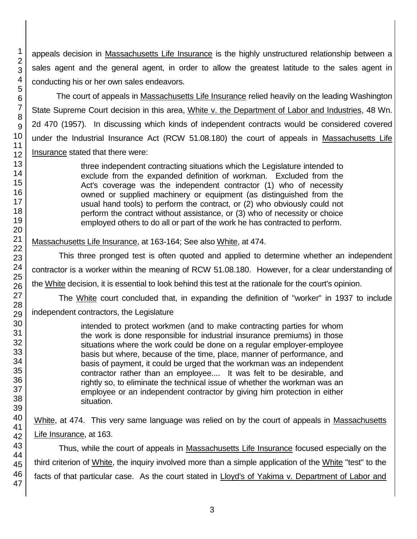appeals decision in Massachusetts Life Insurance is the highly unstructured relationship between a sales agent and the general agent, in order to allow the greatest latitude to the sales agent in conducting his or her own sales endeavors.

The court of appeals in Massachusetts Life Insurance relied heavily on the leading Washington State Supreme Court decision in this area, White v. the Department of Labor and Industries, 48 Wn. 2d 470 (1957). In discussing which kinds of independent contracts would be considered covered under the Industrial Insurance Act (RCW 51.08.180) the court of appeals in Massachusetts Life Insurance stated that there were:

> three independent contracting situations which the Legislature intended to exclude from the expanded definition of workman. Excluded from the Act's coverage was the independent contractor (1) who of necessity owned or supplied machinery or equipment (as distinguished from the usual hand tools) to perform the contract, or (2) who obviously could not perform the contract without assistance, or (3) who of necessity or choice employed others to do all or part of the work he has contracted to perform.

Massachusetts Life Insurance, at 163-164; See also White, at 474.

This three pronged test is often quoted and applied to determine whether an independent contractor is a worker within the meaning of RCW 51.08.180. However, for a clear understanding of the White decision, it is essential to look behind this test at the rationale for the court's opinion.

The White court concluded that, in expanding the definition of "worker" in 1937 to include independent contractors, the Legislature

> intended to protect workmen (and to make contracting parties for whom the work is done responsible for industrial insurance premiums) in those situations where the work could be done on a regular employer-employee basis but where, because of the time, place, manner of performance, and basis of payment, it could be urged that the workman was an independent contractor rather than an employee.... It was felt to be desirable, and rightly so, to eliminate the technical issue of whether the workman was an employee or an independent contractor by giving him protection in either situation.

White, at 474. This very same language was relied on by the court of appeals in Massachusetts Life Insurance, at 163.

Thus, while the court of appeals in Massachusetts Life Insurance focused especially on the third criterion of White, the inquiry involved more than a simple application of the White "test" to the facts of that particular case. As the court stated in Lloyd's of Yakima v. Department of Labor and

1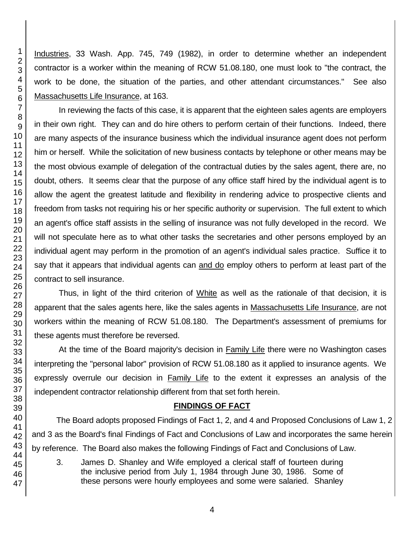Industries, 33 Wash. App. 745, 749 (1982), in order to determine whether an independent contractor is a worker within the meaning of RCW 51.08.180, one must look to "the contract, the work to be done, the situation of the parties, and other attendant circumstances." See also Massachusetts Life Insurance, at 163.

In reviewing the facts of this case, it is apparent that the eighteen sales agents are employers in their own right. They can and do hire others to perform certain of their functions. Indeed, there are many aspects of the insurance business which the individual insurance agent does not perform him or herself. While the solicitation of new business contacts by telephone or other means may be the most obvious example of delegation of the contractual duties by the sales agent, there are, no doubt, others. It seems clear that the purpose of any office staff hired by the individual agent is to allow the agent the greatest latitude and flexibility in rendering advice to prospective clients and freedom from tasks not requiring his or her specific authority or supervision. The full extent to which an agent's office staff assists in the selling of insurance was not fully developed in the record. We will not speculate here as to what other tasks the secretaries and other persons employed by an individual agent may perform in the promotion of an agent's individual sales practice. Suffice it to say that it appears that individual agents can and do employ others to perform at least part of the contract to sell insurance.

Thus, in light of the third criterion of White as well as the rationale of that decision, it is apparent that the sales agents here, like the sales agents in Massachusetts Life Insurance, are not workers within the meaning of RCW 51.08.180. The Department's assessment of premiums for these agents must therefore be reversed.

At the time of the Board majority's decision in Family Life there were no Washington cases interpreting the "personal labor" provision of RCW 51.08.180 as it applied to insurance agents. We expressly overrule our decision in Family Life to the extent it expresses an analysis of the independent contractor relationship different from that set forth herein.

#### **FINDINGS OF FACT**

The Board adopts proposed Findings of Fact 1, 2, and 4 and Proposed Conclusions of Law 1, 2 and 3 as the Board's final Findings of Fact and Conclusions of Law and incorporates the same herein by reference. The Board also makes the following Findings of Fact and Conclusions of Law.

3. James D. Shanley and Wife employed a clerical staff of fourteen during the inclusive period from July 1, 1984 through June 30, 1986. Some of these persons were hourly employees and some were salaried. Shanley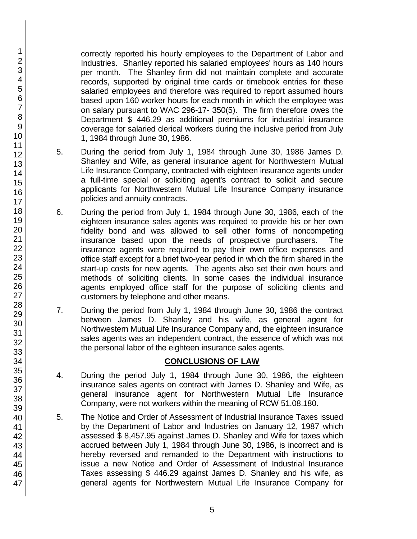correctly reported his hourly employees to the Department of Labor and Industries. Shanley reported his salaried employees' hours as 140 hours per month. The Shanley firm did not maintain complete and accurate records, supported by original time cards or timebook entries for these salaried employees and therefore was required to report assumed hours based upon 160 worker hours for each month in which the employee was on salary pursuant to WAC 296-17- 350(5). The firm therefore owes the Department \$ 446.29 as additional premiums for industrial insurance coverage for salaried clerical workers during the inclusive period from July 1, 1984 through June 30, 1986.

- 5. During the period from July 1, 1984 through June 30, 1986 James D. Shanley and Wife, as general insurance agent for Northwestern Mutual Life Insurance Company, contracted with eighteen insurance agents under a full-time special or soliciting agent's contract to solicit and secure applicants for Northwestern Mutual Life Insurance Company insurance policies and annuity contracts.
- 6. During the period from July 1, 1984 through June 30, 1986, each of the eighteen insurance sales agents was required to provide his or her own fidelity bond and was allowed to sell other forms of noncompeting insurance based upon the needs of prospective purchasers. The insurance agents were required to pay their own office expenses and office staff except for a brief two-year period in which the firm shared in the start-up costs for new agents. The agents also set their own hours and methods of soliciting clients. In some cases the individual insurance agents employed office staff for the purpose of soliciting clients and customers by telephone and other means.
- 7. During the period from July 1, 1984 through June 30, 1986 the contract between James D. Shanley and his wife, as general agent for Northwestern Mutual Life Insurance Company and, the eighteen insurance sales agents was an independent contract, the essence of which was not the personal labor of the eighteen insurance sales agents.

## **CONCLUSIONS OF LAW**

- 4. During the period July 1, 1984 through June 30, 1986, the eighteen insurance sales agents on contract with James D. Shanley and Wife, as general insurance agent for Northwestern Mutual Life Insurance Company, were not workers within the meaning of RCW 51.08.180.
- 5. The Notice and Order of Assessment of Industrial Insurance Taxes issued by the Department of Labor and Industries on January 12, 1987 which assessed \$ 8,457.95 against James D. Shanley and Wife for taxes which accrued between July 1, 1984 through June 30, 1986, is incorrect and is hereby reversed and remanded to the Department with instructions to issue a new Notice and Order of Assessment of Industrial Insurance Taxes assessing \$ 446.29 against James D. Shanley and his wife, as general agents for Northwestern Mutual Life Insurance Company for